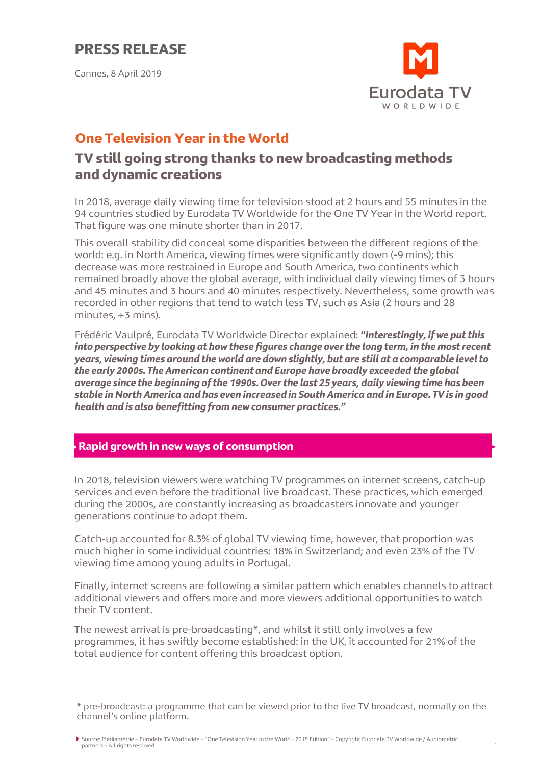Cannes, 8 April 2019



# **One Television Year in the World**

### **TV still going strong thanks to new broadcasting methods and dynamic creations**

In 2018, average daily viewing time for television stood at 2 hours and 55 minutes in the 94 countries studied by Eurodata TV Worldwide for the One TV Year in the World report. That figure was one minute shorter than in 2017.

This overall stability did conceal some disparities between the different regions of the world: e.g. in North America, viewing times were significantly down (-9 mins); this decrease was more restrained in Europe and South America, two continents which remained broadly above the global average, with individual daily viewing times of 3 hours and 45 minutes and 3 hours and 40 minutes respectively. Nevertheless, some growth was recorded in other regions that tend to watch less TV, such as Asia (2 hours and 28 minutes, +3 mins).

Frédéric Vaulpré, Eurodata TV Worldwide Director explained: *"Interestingly, if we put this into perspective by looking at how these figures change over the long term, in the most recent years, viewing times around the world are down slightly, but are still at a comparable level to the early 2000s. The American continent and Europe have broadly exceeded the global average since the beginning of the 1990s. Over the last 25 years, daily viewing time has been stable in North America and has even increased in South America and in Europe. TV is in good health and is also benefitting from new consumer practices."*

### **Rapid growth in new ways of consumption**

In 2018, television viewers were watching TV programmes on internet screens, catch-up services and even before the traditional live broadcast. These practices, which emerged during the 2000s, are constantly increasing as broadcasters innovate and younger generations continue to adopt them.

Catch-up accounted for 8.3% of global TV viewing time, however, that proportion was much higher in some individual countries: 18% in Switzerland; and even 23% of the TV viewing time among young adults in Portugal.

Finally, internet screens are following a similar pattern which enables channels to attract additional viewers and offers more and more viewers additional opportunities to watch their TV content.

The newest arrival is pre-broadcasting\*, and whilst it still only involves a few programmes, it has swiftly become established: in the UK, it accounted for 21% of the total audience for content offering this broadcast option.

\* pre-broadcast: a programme that can be viewed prior to the live TV broadcast, normally on the channel's online platform.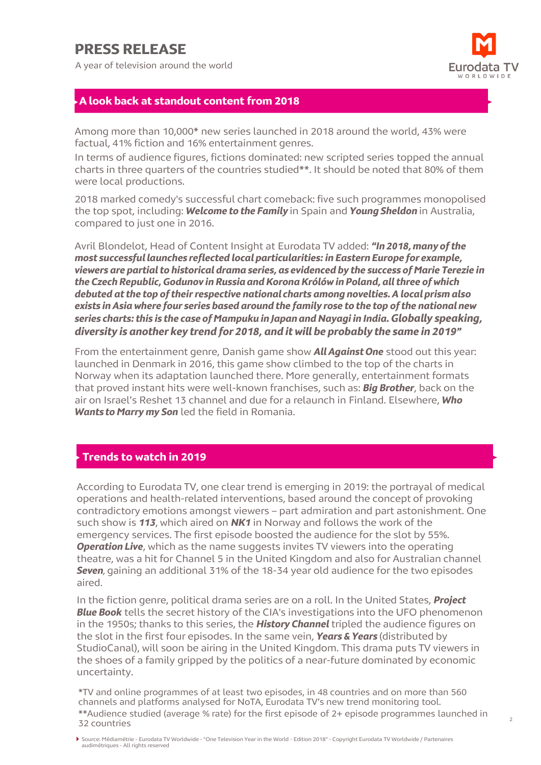# **PRESS RELEASE**

A year of television around the world



2

### **A look back at standout content from 2018**

Among more than 10,000\* new series launched in 2018 around the world, 43% were factual, 41% fiction and 16% entertainment genres.

In terms of audience figures, fictions dominated: new scripted series topped the annual charts in three quarters of the countries studied\*\*. It should be noted that 80% of them were local productions.

2018 marked comedy's successful chart comeback: five such programmes monopolised the top spot, including: *Welcome to the Family* in Spain and *Young Sheldon* in Australia, compared to just one in 2016.

Avril Blondelot, Head of Content Insight at Eurodata TV added: *"In 2018, many of the most successful launches reflected local particularities: in Eastern Europe for example, viewers are partial to historical drama series, as evidenced by the success of Marie Terezie in the Czech Republic, Godunov in Russia and Korona Królów in Poland, all three of which debuted at the top of their respective national charts among novelties. A local prism also exists in Asia where four series based around the family rose to the top of the national new series charts: this is the case of Mampuku in Japan and Nayagi in India. Globally speaking, diversity is another key trend for 2018, and it will be probably the same in 2019"*

From the entertainment genre, Danish game show *All Against One* stood out this year: launched in Denmark in 2016, this game show climbed to the top of the charts in Norway when its adaptation launched there. More generally, entertainment formats that proved instant hits were well-known franchises, such as: *Big Brother*, back on the air on Israel's Reshet 13 channel and due for a relaunch in Finland. Elsewhere, *Who Wants to Marry my Son* led the field in Romania.

#### **Trends to watch in 2019**

According to Eurodata TV, one clear trend is emerging in 2019: the portrayal of medical operations and health-related interventions, based around the concept of provoking contradictory emotions amongst viewers – part admiration and part astonishment. One such show is *113*, which aired on *NK1* in Norway and follows the work of the emergency services. The first episode boosted the audience for the slot by 55%. **Operation Live**, which as the name suggests invites TV viewers into the operating theatre, was a hit for Channel 5 in the United Kingdom and also for Australian channel **Seven**, gaining an additional 31% of the 18-34 year old audience for the two episodes aired.

In the fiction genre, political drama series are on a roll. In the United States, *Project Blue Book* tells the secret history of the CIA's investigations into the UFO phenomenon in the 1950s; thanks to this series, the *History Channel* tripled the audience figures on the slot in the first four episodes. In the same vein, *Years & Years* (distributed by StudioCanal), will soon be airing in the United Kingdom. This drama puts TV viewers in the shoes of a family gripped by the politics of a near-future dominated by economic uncertainty.

\*TV and online programmes of at least two episodes, in 48 countries and on more than 560 channels and platforms analysed for NoTA, Eurodata TV's new trend monitoring tool. \*\*Audience studied (average % rate) for the first episode of 2+ episode programmes launched in 32 countries